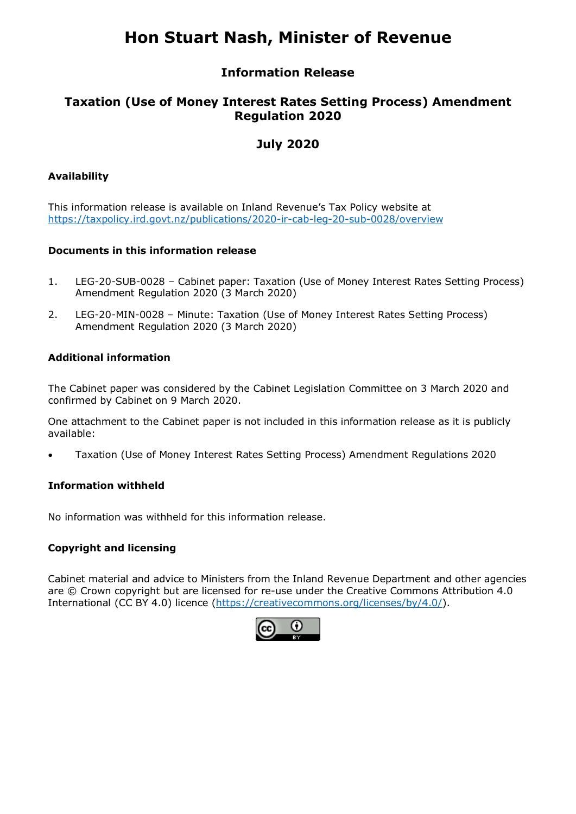# **Hon Stuart Nash, Minister of Revenue**

### **Information Release**

## **Taxation (Use of Money Interest Rates Setting Process) Amendment Regulation 2020**

# **July 2020**

#### **Availability**

This information release is available on Inland Revenue's Tax Policy website at <https://taxpolicy.ird.govt.nz/publications/2020-ir-cab-leg-20-sub-0028/overview>

#### **Documents in this information release**

- 1. [LEG-20-SUB-0028 Cabinet paper: Taxation \(Use of Money Interest Rates Setting Process\)](#page-2-0) Amendment Regulation 2020 (3 March 2020)
- 2. [LEG-20-MIN-0028 Minute: Taxation \(Use of Money Interest Rates Setting Process\)](#page-6-0) Amendment Regulation 2020 (3 March 2020)

#### **Additional information**

The Cabinet paper was considered by the Cabinet Legislation Committee on 3 March 2020 and confirmed by Cabinet on 9 March 2020.

One attachment to the Cabinet paper is not included in this information release as it is publicly available:

• Taxation (Use of Money Interest Rates Setting Process) Amendment Regulations 2020

#### **Information withheld**

No information was withheld for this information release.

#### **Copyright and licensing**

Cabinet material and advice to Ministers from the Inland Revenue Department and other agencies are © Crown copyright but are licensed for re-use under the Creative Commons Attribution 4.0 International (CC BY 4.0) licence [\(https://creativecommons.org/licenses/by/4.0/\)](https://creativecommons.org/licenses/by/4.0/).

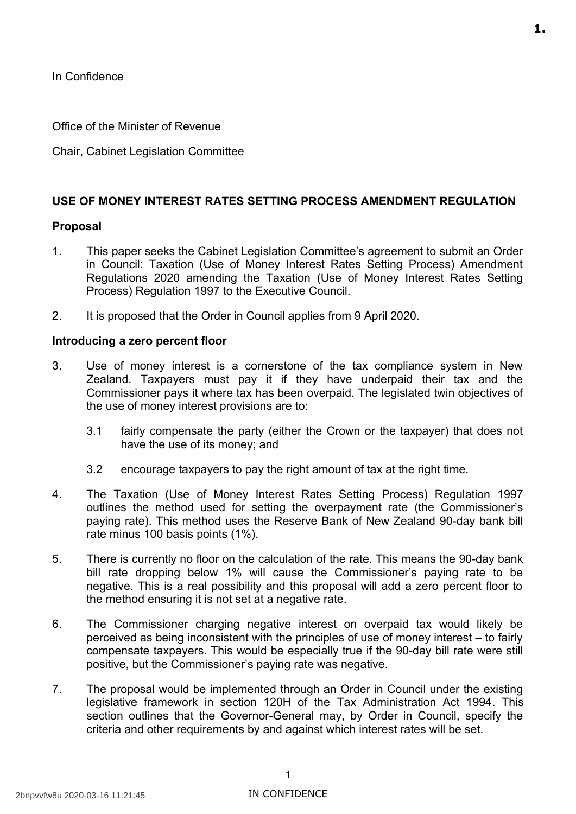<span id="page-2-0"></span>In Confidence

Office of the Minister of Revenue

Chair, Cabinet Legislation Committee

#### **USE OF MONEY INTEREST RATES SETTING PROCESS AMENDMENT REGULATION**

#### **Proposal**

- 1. This paper seeks the Cabinet Legislation Committee's agreement to submit an Order in Council: Taxation (Use of Money Interest Rates Setting Process) Amendment Regulations 2020 amending the Taxation (Use of Money Interest Rates Setting Process) Regulation 1997 to the Executive Council.
- 2. It is proposed that the Order in Council applies from 9 April 2020.

#### **Introducing a zero percent floor**

- 3. Use of money interest is a cornerstone of the tax compliance system in New Zealand. Taxpayers must pay it if they have underpaid their tax and the Commissioner pays it where tax has been overpaid. The legislated twin objectives of the use of money interest provisions are to:
	- 3.1 fairly compensate the party (either the Crown or the taxpayer) that does not have the use of its money; and
	- 3.2 encourage taxpayers to pay the right amount of tax at the right time.
- 4. The Taxation (Use of Money Interest Rates Setting Process) Regulation 1997 outlines the method used for setting the overpayment rate (the Commissioner's paying rate). This method uses the Reserve Bank of New Zealand 90-day bank bill rate minus 100 basis points (1%).
- 5. There is currently no floor on the calculation of the rate. This means the 90-day bank bill rate dropping below 1% will cause the Commissioner's paying rate to be negative. This is a real possibility and this proposal will add a zero percent floor to the method ensuring it is not set at a negative rate.
- 6. The Commissioner charging negative interest on overpaid tax would likely be perceived as being inconsistent with the principles of use of money interest – to fairly compensate taxpayers. This would be especially true if the 90-day bill rate were still positive, but the Commissioner's paying rate was negative.
- 7. The proposal would be implemented through an Order in Council under the existing legislative framework in section 120H of the Tax Administration Act 1994. This section outlines that the Governor-General may, by Order in Council, specify the criteria and other requirements by and against which interest rates will be set.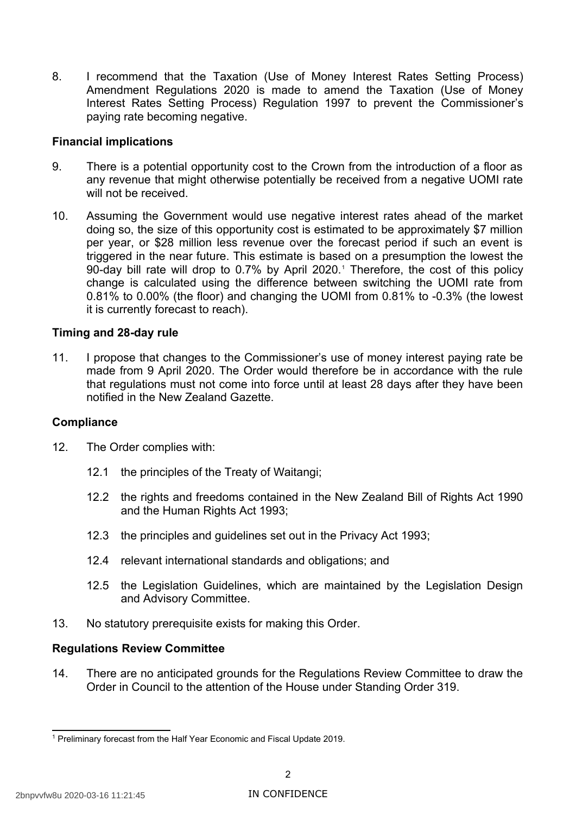8. I recommend that the Taxation (Use of Money Interest Rates Setting Process) Amendment Regulations 2020 is made to amend the Taxation (Use of Money Interest Rates Setting Process) Regulation 1997 to prevent the Commissioner's paying rate becoming negative.

#### **Financial implications**

- 9. There is a potential opportunity cost to the Crown from the introduction of a floor as any revenue that might otherwise potentially be received from a negative UOMI rate will not be received.
- 10. Assuming the Government would use negative interest rates ahead of the market doing so, the size of this opportunity cost is estimated to be approximately \$7 million per year, or \$28 million less revenue over the forecast period if such an event is triggered in the near future. This estimate is based on a presumption the lowest the 90-day bill rate will drop to 0.7% by April 2020.<sup>1</sup> Therefore, the cost of this policy change is calculated using the difference between switching the UOMI rate from 0.81% to 0.00% (the floor) and changing the UOMI from 0.81% to -0.3% (the lowest it is currently forecast to reach).

#### **Timing and 28-day rule**

 11. I propose that changes to the Commissioner's use of money interest paying rate be made from 9 April 2020. The Order would therefore be in accordance with the rule that regulations must not come into force until at least 28 days after they have been notified in the New Zealand Gazette.

#### **Compliance**

- 12. The Order complies with:
	- 12.1 the principles of the Treaty of Waitangi;
	- 12.2 the rights and freedoms contained in the New Zealand Bill of Rights Act 1990 and the Human Rights Act 1993;
	- 12.3 the principles and guidelines set out in the Privacy Act 1993;
	- 12.4 relevant international standards and obligations; and
	- 12.5 the Legislation Guidelines, which are maintained by the Legislation Design and Advisory Committee.
- 13. No statutory prerequisite exists for making this Order.

#### **Regulations Review Committee**

 14. There are no anticipated grounds for the Regulations Review Committee to draw the Order in Council to the attention of the House under Standing Order 319.

<span id="page-3-0"></span><sup>&</sup>lt;sup>1</sup> Preliminary forecast from the Half Year Economic and Fiscal Update 2019.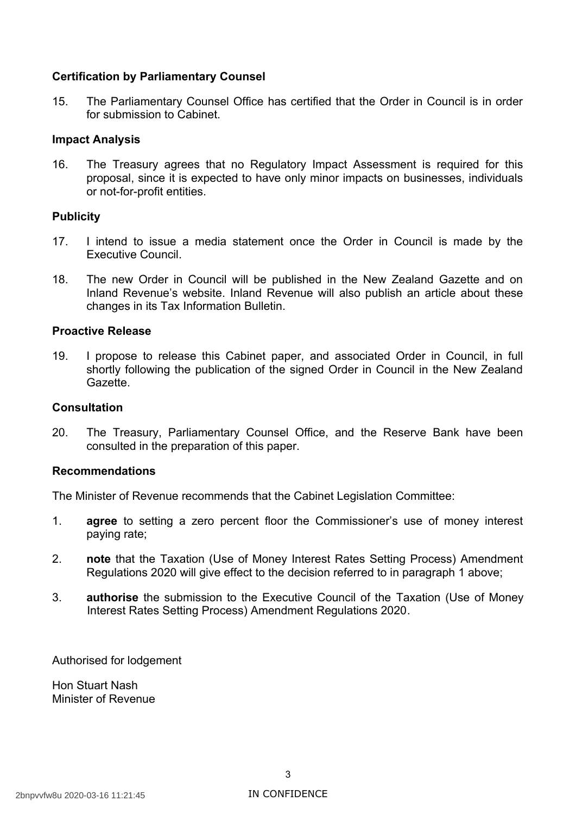#### **Certification by Parliamentary Counsel**

 15. The Parliamentary Counsel Office has certified that the Order in Council is in order for submission to Cabinet.

#### **Impact Analysis**

 16. The Treasury agrees that no Regulatory Impact Assessment is required for this proposal, since it is expected to have only minor impacts on businesses, individuals or not-for-profit entities.

#### **Publicity**

- 17. I intend to issue a media statement once the Order in Council is made by the Executive Council.
- 18. The new Order in Council will be published in the New Zealand Gazette and on Inland Revenue's website. Inland Revenue will also publish an article about these changes in its Tax Information Bulletin.

#### **Proactive Release**

 19. I propose to release this Cabinet paper, and associated Order in Council, in full shortly following the publication of the signed Order in Council in the New Zealand Gazette.

#### **Consultation**

 20. The Treasury, Parliamentary Counsel Office, and the Reserve Bank have been consulted in the preparation of this paper.

#### **Recommendations**

The Minister of Revenue recommends that the Cabinet Legislation Committee:

- 1. **agree** to setting a zero percent floor the Commissioner's use of money interest paying rate;
- 2. **note** that the Taxation (Use of Money Interest Rates Setting Process) Amendment Regulations 2020 will give effect to the decision referred to in paragraph 1 above;
- 3. **authorise** the submission to the Executive Council of the Taxation (Use of Money Interest Rates Setting Process) Amendment Regulations 2020.

Authorised for lodgement

 Hon Stuart Nash Minister of Revenue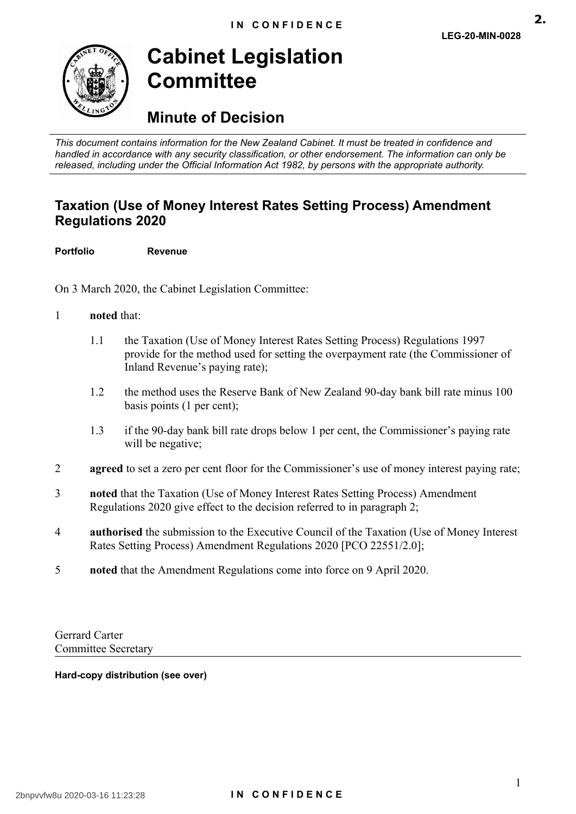**2.**

<span id="page-6-0"></span>

# **Cabinet Legislation Committee**

# **Minute of Decision**

 *This document contains information for the New Zealand Cabinet. It must be treated in confidence and handled in accordance with any security classification, or other endorsement. The information can only be released, including under the Official Information Act 1982, by persons with the appropriate authority.* 

# **Taxation (Use of Money Interest Rates Setting Process) Amendment Regulations 2020**

**Portfolio Revenue** 

On 3 March 2020, the Cabinet Legislation Committee:

#### 1 **noted** that:

- 1.1 the Taxation (Use of Money Interest Rates Setting Process) Regulations 1997 provide for the method used for setting the overpayment rate (the Commissioner of Inland Revenue's paying rate);
- 1.2 the method uses the Reserve Bank of New Zealand 90-day bank bill rate minus 100 basis points (1 per cent);
- 1.3 if the 90-day bank bill rate drops below 1 per cent, the Commissioner's paying rate will be negative;
- 2 **agreed** to set a zero per cent floor for the Commissioner's use of money interest paying rate;
- 3 **noted** that the Taxation (Use of Money Interest Rates Setting Process) Amendment Regulations 2020 give effect to the decision referred to in paragraph 2;
- 4 **authorised** the submission to the Executive Council of the Taxation (Use of Money Interest Rates Setting Process) Amendment Regulations 2020 [PCO 22551/2.0];
- 5 **noted** that the Amendment Regulations come into force on 9 April 2020.

Gerrard Carter Committee Secretary

#### **Hard-copy distribution (see over)**